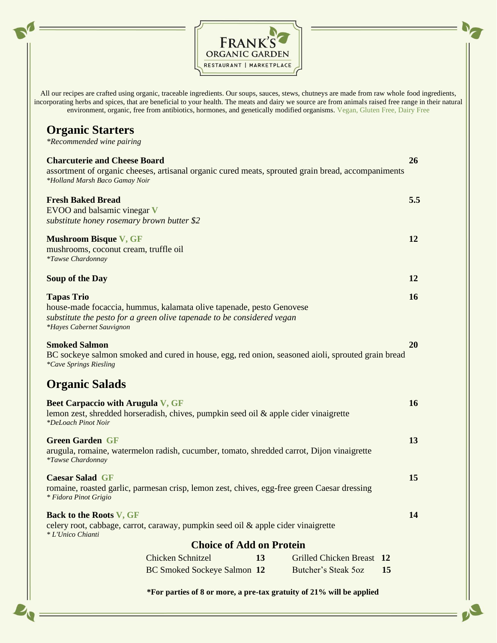

All our recipes are crafted using organic, traceable ingredients. Our soups, sauces, stews, chutneys are made from raw whole food ingredients, incorporating herbs and spices, that are beneficial to your health. The meats and dairy we source are from animals raised free range in their natural environment, organic, free from antibiotics, hormones, and genetically modified organisms. Vegan, Gluten Free, Dairy Free

## **Organic Starters**

*\*Recommended wine pairing*

| <b>Charcuterie and Cheese Board</b><br>assortment of organic cheeses, artisanal organic cured meats, sprouted grain bread, accompaniments<br>*Holland Marsh Baco Gamay Noir                      |                             |    |                           |    |     |  |
|--------------------------------------------------------------------------------------------------------------------------------------------------------------------------------------------------|-----------------------------|----|---------------------------|----|-----|--|
| <b>Fresh Baked Bread</b><br>EVOO and balsamic vinegar V<br>substitute honey rosemary brown butter \$2                                                                                            |                             |    |                           |    | 5.5 |  |
| <b>Mushroom Bisque V, GF</b><br>mushrooms, coconut cream, truffle oil<br><i>*Tawse Chardonnay</i>                                                                                                |                             |    |                           |    |     |  |
| Soup of the Day                                                                                                                                                                                  |                             |    |                           |    |     |  |
| <b>Tapas Trio</b><br>house-made focaccia, hummus, kalamata olive tapenade, pesto Genovese<br>substitute the pesto for a green olive tapenade to be considered vegan<br>*Hayes Cabernet Sauvignon |                             |    |                           |    | 16  |  |
| <b>Smoked Salmon</b><br>BC sockeye salmon smoked and cured in house, egg, red onion, seasoned aioli, sprouted grain bread<br>*Cave Springs Riesling                                              |                             |    |                           |    |     |  |
| <b>Organic Salads</b>                                                                                                                                                                            |                             |    |                           |    |     |  |
| <b>Beet Carpaccio with Arugula V, GF</b><br>lemon zest, shredded horseradish, chives, pumpkin seed oil $\&$ apple cider vinaigrette<br>*DeLoach Pinot Noir                                       |                             |    |                           |    |     |  |
| <b>Green Garden GF</b><br>arugula, romaine, watermelon radish, cucumber, tomato, shredded carrot, Dijon vinaigrette<br><i>*Tawse Chardonnay</i>                                                  |                             |    |                           |    |     |  |
| <b>Caesar Salad GF</b><br>romaine, roasted garlic, parmesan crisp, lemon zest, chives, egg-free green Caesar dressing<br><i>* Fidora Pinot Grigio</i>                                            |                             |    |                           |    |     |  |
| <b>Back to the Roots V, GF</b><br>celery root, cabbage, carrot, caraway, pumpkin seed oil & apple cider vinaigrette<br>* L'Unico Chianti                                                         |                             |    |                           |    | 14  |  |
| <b>Choice of Add on Protein</b>                                                                                                                                                                  |                             |    |                           |    |     |  |
|                                                                                                                                                                                                  | <b>Chicken Schnitzel</b>    | 13 | Grilled Chicken Breast 12 |    |     |  |
|                                                                                                                                                                                                  | BC Smoked Sockeye Salmon 12 |    | Butcher's Steak 5oz       | 15 |     |  |
| *For parties of 8 or more, a pre-tax gratuity of 21% will be applied                                                                                                                             |                             |    |                           |    |     |  |